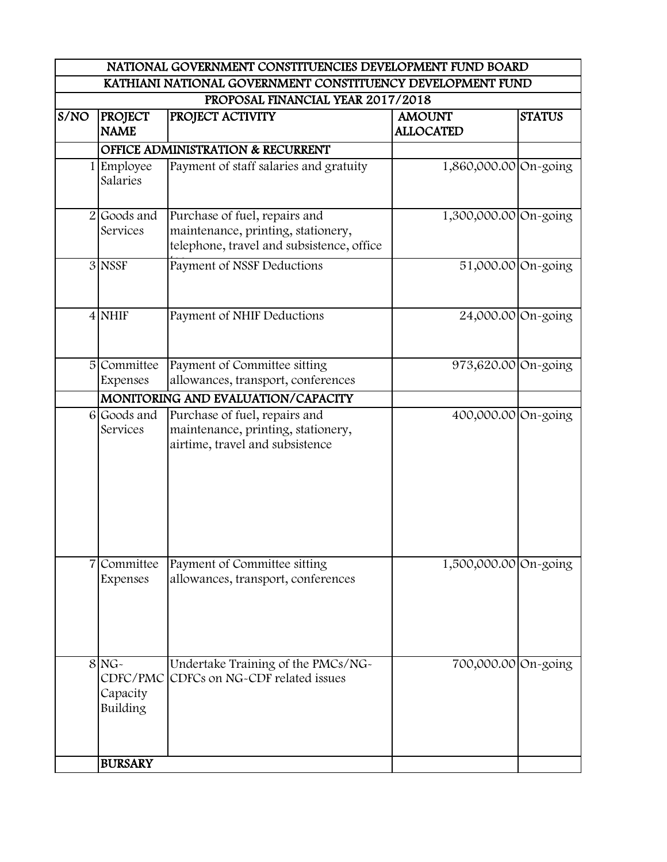|      |                                             | KATHIANI NATIONAL GOVERNMENT CONSTITUENCY DEVELOPMENT FUND                                                       |                                   |               |
|------|---------------------------------------------|------------------------------------------------------------------------------------------------------------------|-----------------------------------|---------------|
|      |                                             | PROPOSAL FINANCIAL YEAR 2017/2018                                                                                |                                   |               |
| S/NO | <b>PROJECT</b><br><b>NAME</b>               | PROJECT ACTIVITY                                                                                                 | <b>AMOUNT</b><br><b>ALLOCATED</b> | <b>STATUS</b> |
|      |                                             | <b>OFFICE ADMINISTRATION &amp; RECURRENT</b>                                                                     |                                   |               |
|      | Employee<br>Salaries                        | Payment of staff salaries and gratuity                                                                           | 1,860,000.00 On-going             |               |
|      | 2 Goods and<br>Services                     | Purchase of fuel, repairs and<br>maintenance, printing, stationery,<br>telephone, travel and subsistence, office | 1,300,000.00 On-going             |               |
|      | 3 NSSF                                      | Payment of NSSF Deductions                                                                                       | 51,000.00 On-going                |               |
|      | $4$ NHIF                                    | Payment of NHIF Deductions                                                                                       | 24,000.00 On-going                |               |
|      | 5 Committee<br>Expenses                     | Payment of Committee sitting<br>allowances, transport, conferences                                               | 973,620.00 On-going               |               |
|      |                                             | MONITORING AND EVALUATION/CAPACITY                                                                               |                                   |               |
|      | 6 Goods and<br>Services                     | Purchase of fuel, repairs and<br>maintenance, printing, stationery,<br>airtime, travel and subsistence           | 400,000.00 On-going               |               |
|      | Committee<br>Expenses                       | Payment of Committee sitting<br>allowances, transport, conferences                                               | 1,500,000.00 On-going             |               |
|      | $8NG -$<br>CDFC/PMC<br>Capacity<br>Building | Undertake Training of the PMCs/NG-<br>CDFCs on NG-CDF related issues                                             | 700,000.00 On-going               |               |
|      | <b>BURSARY</b>                              |                                                                                                                  |                                   |               |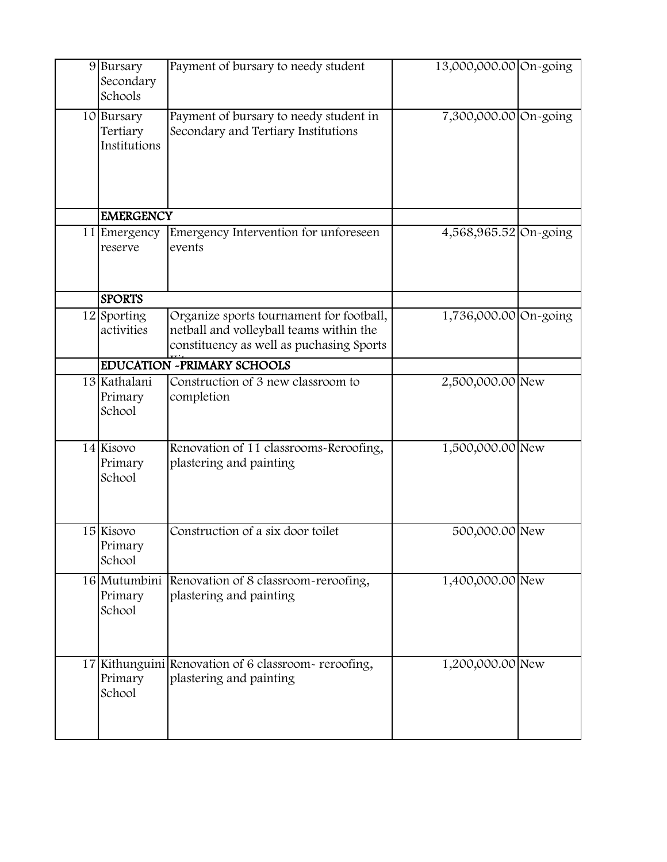| 9 Bursary<br>Secondary<br>Schools      | Payment of bursary to needy student                                                                                             | 13,000,000.00 On-going |  |
|----------------------------------------|---------------------------------------------------------------------------------------------------------------------------------|------------------------|--|
| 10 Bursary<br>Tertiary<br>Institutions | Payment of bursary to needy student in<br>Secondary and Tertiary Institutions                                                   | 7,300,000.00 On-going  |  |
| <b>EMERGENCY</b>                       |                                                                                                                                 |                        |  |
| 11 Emergency<br>reserve                | Emergency Intervention for unforeseen<br>events                                                                                 | 4,568,965.52 On-going  |  |
| <b>SPORTS</b>                          |                                                                                                                                 |                        |  |
| 12 Sporting<br>activities              | Organize sports tournament for football,<br>netball and volleyball teams within the<br>constituency as well as puchasing Sports | 1,736,000.00 On-going  |  |
|                                        | <b>EDUCATION -PRIMARY SCHOOLS</b>                                                                                               |                        |  |
| 13 Kathalani<br>Primary<br>School      | Construction of 3 new classroom to<br>completion                                                                                | 2,500,000.00 New       |  |
| 14 Kisovo<br>Primary<br>School         | Renovation of 11 classrooms-Reroofing,<br>plastering and painting                                                               | 1,500,000.00 New       |  |
| 15 Kisovo<br>Primary<br>School         | Construction of a six door toilet                                                                                               | 500,000.00 New         |  |
| Primary<br>School                      | 16 Mutumbini Renovation of 8 classroom-reroofing,<br>plastering and painting                                                    | 1,400,000.00 New       |  |
| Primary<br>School                      | 17 Kithunguini Renovation of 6 classroom-reroofing,<br>plastering and painting                                                  | 1,200,000.00 New       |  |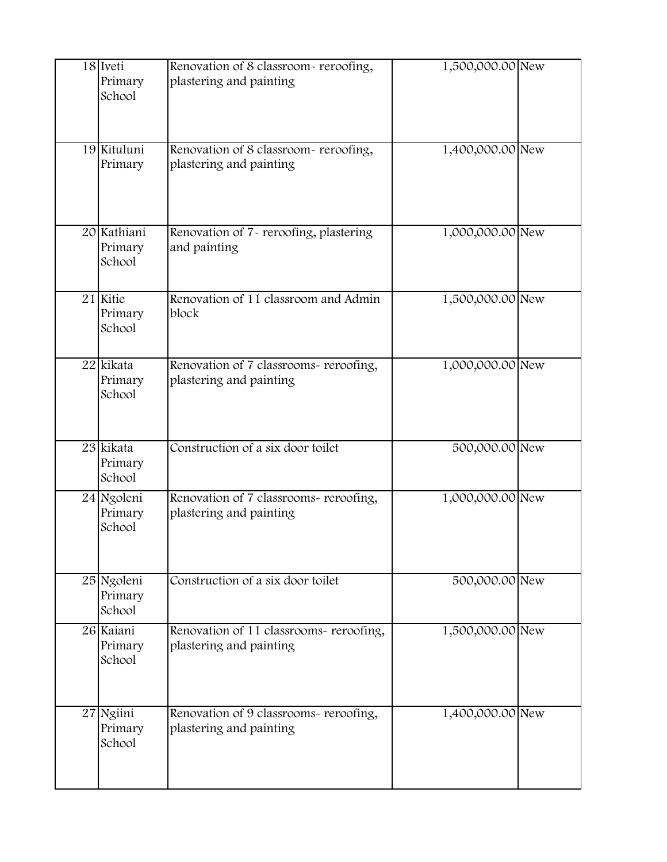| 18 Iveti<br>Primary<br>School    | Renovation of 8 classroom-reroofing,<br>plastering and painting    | 1,500,000.00 New |  |
|----------------------------------|--------------------------------------------------------------------|------------------|--|
| 19 Kituluni<br>Primary           | Renovation of 8 classroom-reroofing,<br>plastering and painting    | 1,400,000.00 New |  |
| 20 Kathiani<br>Primary<br>School | Renovation of 7- reroofing, plastering<br>and painting             | 1,000,000.00 New |  |
| 21 Kitie<br>Primary<br>School    | Renovation of 11 classroom and Admin<br>block                      | 1,500,000.00 New |  |
| 22 kikata<br>Primary<br>School   | Renovation of 7 classrooms- reroofing,<br>plastering and painting  | 1,000,000.00 New |  |
| 23 kikata<br>Primary<br>School   | Construction of a six door toilet                                  | 500,000.00 New   |  |
| 24 Ngoleni<br>Primary<br>School  | Renovation of 7 classrooms- reroofing,<br>plastering and painting  | 1,000,000.00 New |  |
| 25 Ngoleni<br>Primary<br>School  | Construction of a six door toilet                                  | 500,000.00 New   |  |
| 26 Kaiani<br>Primary<br>School   | Renovation of 11 classrooms- reroofing,<br>plastering and painting | 1,500,000.00 New |  |
| 27 Ngiini<br>Primary<br>School   | Renovation of 9 classrooms- reroofing,<br>plastering and painting  | 1,400,000.00 New |  |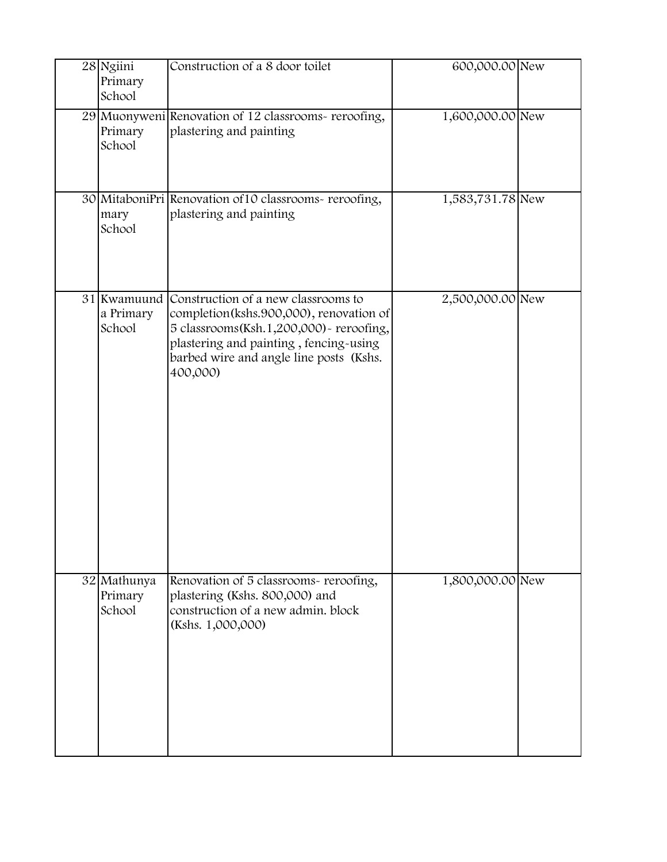| 28 Ngiini<br>Primary<br>School     | Construction of a 8 door toilet                                                                                                                                                                                             | 600,000.00 New   |  |
|------------------------------------|-----------------------------------------------------------------------------------------------------------------------------------------------------------------------------------------------------------------------------|------------------|--|
| Primary<br>School                  | 29 Muonyweni Renovation of 12 classrooms-reroofing,<br>plastering and painting                                                                                                                                              | 1,600,000.00 New |  |
| mary<br>School                     | 30 MitaboniPri Renovation of 10 classrooms-reroofing,<br>plastering and painting                                                                                                                                            | 1,583,731.78 New |  |
| 31 Kwamuund<br>a Primary<br>School | Construction of a new classrooms to<br>completion(kshs.900,000), renovation of<br>5 classrooms(Ksh.1,200,000) - reroofing,<br>plastering and painting, fencing-using<br>barbed wire and angle line posts (Kshs.<br>400,000) | 2,500,000.00 New |  |
| 32 Mathunya<br>Primary<br>School   | Renovation of 5 classrooms- reroofing,<br>plastering (Kshs. 800,000) and<br>construction of a new admin. block<br>(Kshs. 1,000,000)                                                                                         | 1,800,000.00 New |  |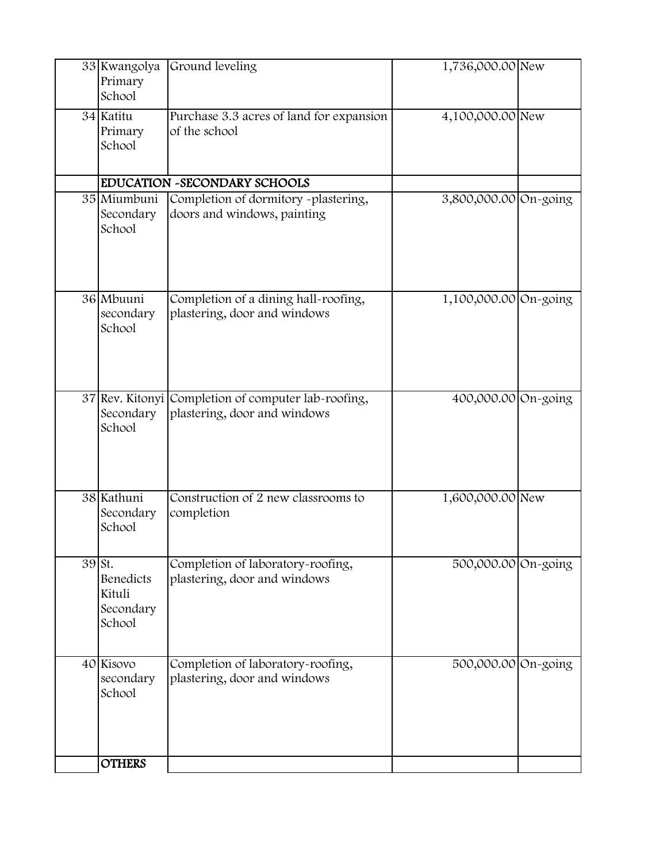|                     | 33 Kwangolya<br>Primary<br>School          | Ground leveling                                                      | 1,736,000.00 New      |  |
|---------------------|--------------------------------------------|----------------------------------------------------------------------|-----------------------|--|
|                     | 34 Katitu<br>Primary<br>School             | Purchase 3.3 acres of land for expansion<br>of the school            | 4,100,000.00 New      |  |
|                     |                                            | EDUCATION ~SECONDARY SCHOOLS                                         |                       |  |
|                     | 35 Miumbuni<br>Secondary<br>School         | Completion of dormitory -plastering,<br>doors and windows, painting  | 3,800,000.00 On-going |  |
|                     | 36 Mbuuni<br>secondary<br>School           | Completion of a dining hall-roofing,<br>plastering, door and windows | 1,100,000.00 On-going |  |
|                     | 37 Rev. Kitonyi<br>Secondary<br>School     | Completion of computer lab-roofing,<br>plastering, door and windows  | 400,000.00 On-going   |  |
|                     | 38 Kathuni<br>Secondary<br>School          | Construction of 2 new classrooms to<br>completion                    | 1,600,000.00 New      |  |
| $\overline{3}9$ St. | Benedicts<br>Kituli<br>Secondary<br>School | Completion of laboratory-roofing,<br>plastering, door and windows    | 500,000.00 On-going   |  |
|                     | 40 Kisovo<br>secondary<br>School           | Completion of laboratory-roofing,<br>plastering, door and windows    | 500,000.00 On-going   |  |
|                     | <b>OTHERS</b>                              |                                                                      |                       |  |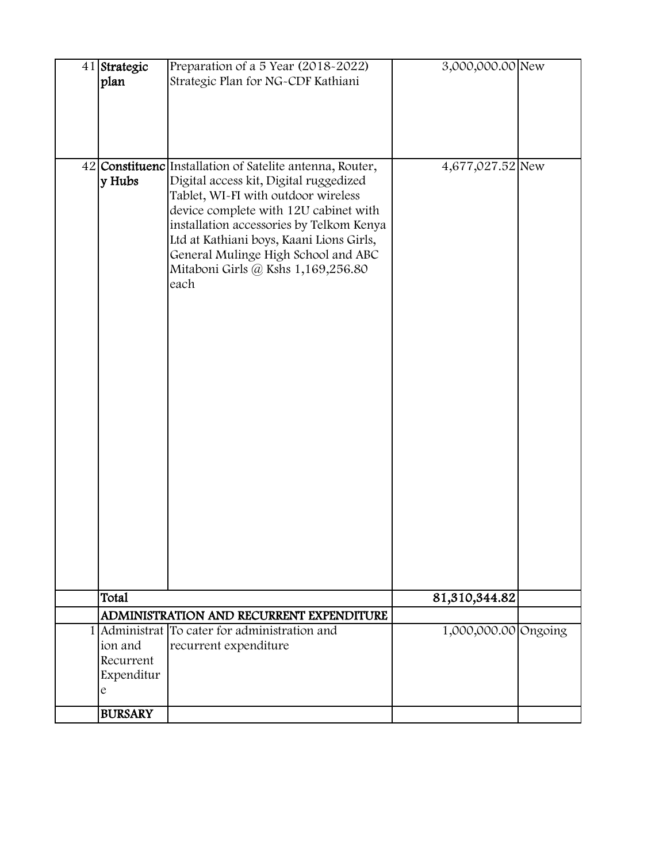| 41 Strategic         | Preparation of a 5 Year (2018-2022)                                          | 3,000,000.00 New     |  |
|----------------------|------------------------------------------------------------------------------|----------------------|--|
| plan                 | Strategic Plan for NG-CDF Kathiani                                           |                      |  |
|                      |                                                                              |                      |  |
|                      |                                                                              |                      |  |
|                      |                                                                              |                      |  |
|                      | 42 Constituenc Installation of Satelite antenna, Router,                     | 4,677,027.52 New     |  |
| y Hubs               | Digital access kit, Digital ruggedized                                       |                      |  |
|                      | Tablet, WI-FI with outdoor wireless<br>device complete with 12U cabinet with |                      |  |
|                      | installation accessories by Telkom Kenya                                     |                      |  |
|                      | Ltd at Kathiani boys, Kaani Lions Girls,                                     |                      |  |
|                      | General Mulinge High School and ABC                                          |                      |  |
|                      | Mitaboni Girls @ Kshs 1,169,256.80<br>each                                   |                      |  |
|                      |                                                                              |                      |  |
|                      |                                                                              |                      |  |
|                      |                                                                              |                      |  |
|                      |                                                                              |                      |  |
|                      |                                                                              |                      |  |
|                      |                                                                              |                      |  |
|                      |                                                                              |                      |  |
|                      |                                                                              |                      |  |
|                      |                                                                              |                      |  |
|                      |                                                                              |                      |  |
|                      |                                                                              |                      |  |
|                      |                                                                              |                      |  |
|                      |                                                                              |                      |  |
|                      |                                                                              |                      |  |
|                      |                                                                              |                      |  |
|                      |                                                                              |                      |  |
| Total                |                                                                              | 81,310,344.82        |  |
|                      | ADMINISTRATION AND RECURRENT EXPENDITURE                                     |                      |  |
|                      | 1 Administrat To cater for administration and                                | 1,000,000.00 Ongoing |  |
| ion and<br>Recurrent | recurrent expenditure                                                        |                      |  |
| Expenditur           |                                                                              |                      |  |
| e                    |                                                                              |                      |  |
| <b>BURSARY</b>       |                                                                              |                      |  |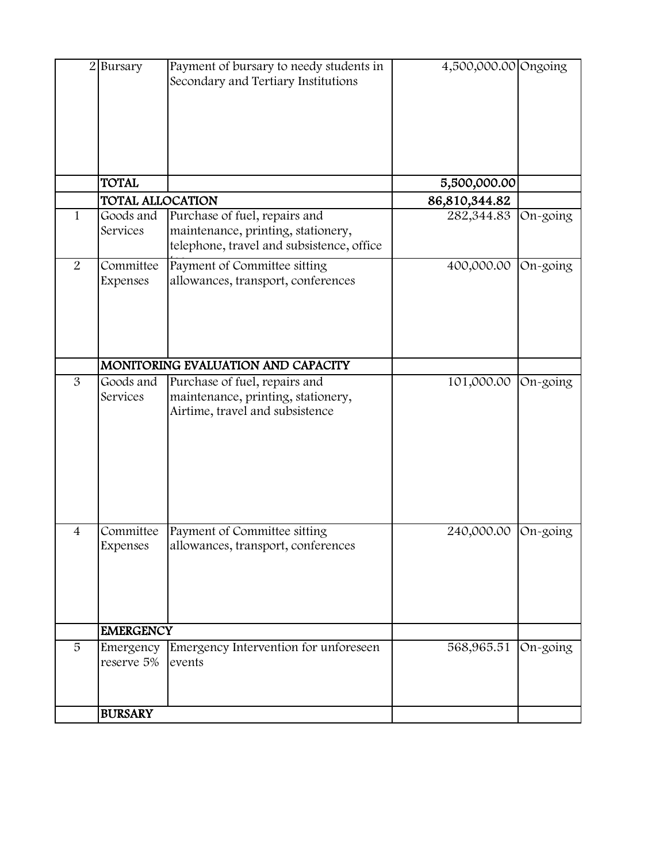|                | 2 Bursary               | Payment of bursary to needy students in<br>Secondary and Tertiary Institutions                                   | 4,500,000.00 Ongoing |            |
|----------------|-------------------------|------------------------------------------------------------------------------------------------------------------|----------------------|------------|
|                | <b>TOTAL</b>            |                                                                                                                  | 5,500,000.00         |            |
|                | <b>TOTAL ALLOCATION</b> |                                                                                                                  | 86,810,344.82        |            |
| 1              | Goods and<br>Services   | Purchase of fuel, repairs and<br>maintenance, printing, stationery,<br>telephone, travel and subsistence, office | 282,344.83           | $On-going$ |
| $\overline{2}$ | Committee<br>Expenses   | Payment of Committee sitting<br>allowances, transport, conferences                                               | 400,000.00           | On-going   |
|                |                         | MONITORING EVALUATION AND CAPACITY                                                                               |                      |            |
| 3              | Goods and<br>Services   | Purchase of fuel, repairs and<br>maintenance, printing, stationery,<br>Airtime, travel and subsistence           | 101,000.00           | On-going   |
| $\overline{4}$ | Committee<br>Expenses   | Payment of Committee sitting<br>allowances, transport, conferences                                               | 240,000.00           | On-going   |
|                | <b>EMERGENCY</b>        |                                                                                                                  |                      |            |
| 5              | Emergency<br>reserve 5% | Emergency Intervention for unforeseen<br>events                                                                  | 568,965.51           | On-going   |
|                | <b>BURSARY</b>          |                                                                                                                  |                      |            |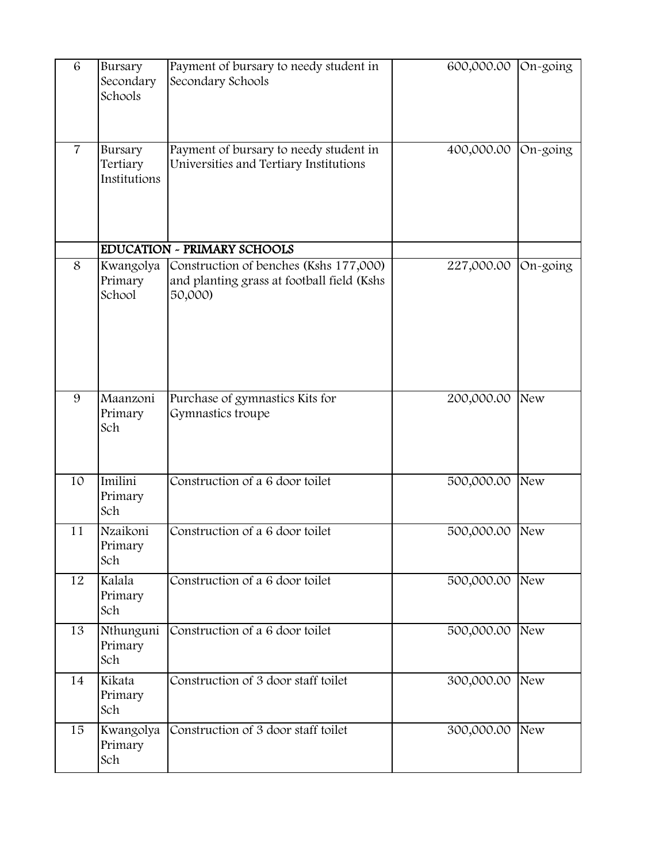| 6              | Bursary<br>Secondary<br>Schools     | Payment of bursary to needy student in<br>Secondary Schools                                     | 600,000.00 | On-going   |
|----------------|-------------------------------------|-------------------------------------------------------------------------------------------------|------------|------------|
| $\overline{7}$ | Bursary<br>Tertiary<br>Institutions | Payment of bursary to needy student in<br>Universities and Tertiary Institutions                | 400,000.00 | On-going   |
|                |                                     | <b>EDUCATION - PRIMARY SCHOOLS</b>                                                              |            |            |
| 8              | Kwangolya<br>Primary<br>School      | Construction of benches (Kshs 177,000)<br>and planting grass at football field (Kshs<br>50,000) | 227,000.00 | On-going   |
| 9              | Maanzoni<br>Primary<br>Sch          | Purchase of gymnastics Kits for<br>Gymnastics troupe                                            | 200,000.00 | New        |
| 10             | Imilini<br>Primary<br>Sch           | Construction of a 6 door toilet                                                                 | 500,000.00 | New        |
| 11             | Nzaikoni<br>Primary<br>Sch          | Construction of a 6 door toilet                                                                 | 500,000.00 | New        |
| 12             | Kalala<br>Primary<br>Sch            | Construction of a 6 door toilet                                                                 | 500,000.00 | New        |
| 13             | Nthunguni<br>Primary<br>Sch         | Construction of a 6 door toilet                                                                 | 500,000.00 | New        |
| 14             | Kikata<br>Primary<br>Sch            | Construction of 3 door staff toilet                                                             | 300,000.00 | New        |
| 15             | Kwangolya<br>Primary<br>Sch         | Construction of 3 door staff toilet                                                             | 300,000.00 | <b>New</b> |